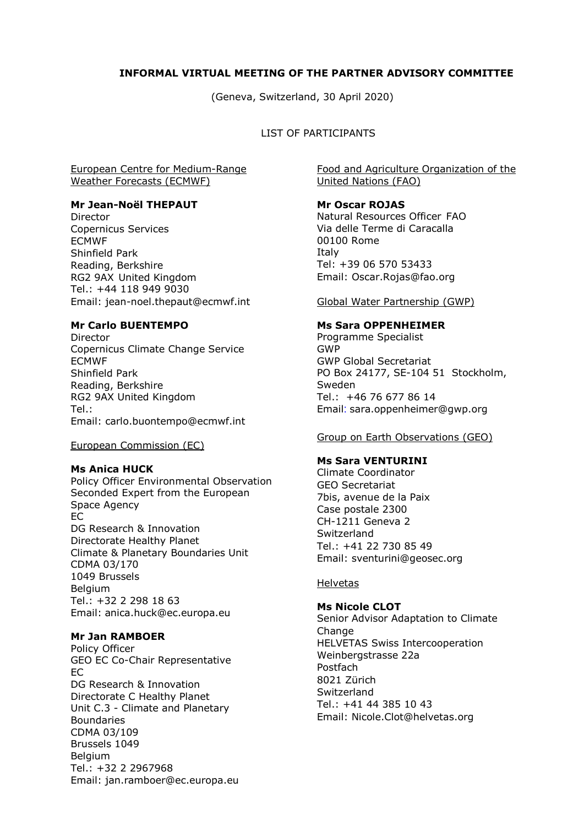# **INFORMAL VIRTUAL MEETING OF THE PARTNER ADVISORY COMMITTEE**

(Geneva, Switzerland, 30 April 2020)

# LIST OF PARTICIPANTS

# European Centre for Medium-Range Weather Forecasts (ECMWF)

#### **Mr Jean-Noël THEPAUT**

Director Copernicus Services ECMWF Shinfield Park Reading, Berkshire RG2 9AX United Kingdom Tel.: +44 118 949 9030 Email: [jean-noel.thepaut@ecmwf.int](mailto:jean-noel.thepaut@ecmwf.int)

# **Mr Carlo BUENTEMPO**

Director Copernicus Climate Change Service ECMWF Shinfield Park Reading, Berkshire RG2 9AX United Kingdom Tel.: Email: carlo.buontempo@ecmwf.int

#### European Commission (EC)

# **Ms Anica HUCK**

Policy Officer Environmental Observation Seconded Expert from the European Space Agency EC DG Research & Innovation Directorate Healthy Planet Climate & Planetary Boundaries Unit CDMA 03/170 1049 Brussels Belgium Tel.: +32 2 298 18 63 Email: anica.huck@ec.europa.eu

#### **Mr Jan RAMBOER**

Policy Officer GEO EC Co-Chair Representative EC DG Research & Innovation Directorate C Healthy Planet Unit C.3 - Climate and Planetary Boundaries CDMA 03/109 Brussels 1049 Belgium Tel.: +32 2 2967968 Email: jan.ramboer@ec.europa.eu

Food and Agriculture Organization of the United Nations (FAO)

## **Mr Oscar ROJAS**

Natural Resources Officer FAO Via delle Terme di Caracalla 00100 Rome Italy Tel: +39 06 570 53433 Email: Oscar.Rojas@fao.org

Global Water Partnership (GWP)

#### **Ms Sara OPPENHEIMER**

Programme Specialist GWP GWP Global Secretariat PO Box 24177, SE-104 51 Stockholm, Sweden Tel.: +46 76 677 86 14 Email: sara.oppenheimer@gwp.org

#### Group on Earth Observations (GEO)

## **Ms Sara VENTURINI**

Climate Coordinator GEO Secretariat 7bis, avenue de la Paix Case postale 2300 CH-1211 Geneva 2 Switzerland Tel.: +41 22 730 85 49 Email: sventurini@geosec.org

#### Helvetas

**Ms Nicole CLOT** Senior Advisor Adaptation to Climate Change HELVETAS Swiss Intercooperation [Weinbergstrasse 22a](https://maps.google.com/?q=Weinbergstrasse+22a&entry=gmail&source=g) Postfach 8021 Zürich **Switzerland** Tel.: [+41 44 385 10 43](tel:+41%2044%20368%2065%2000) Email: Nicole.Clot@helvetas.org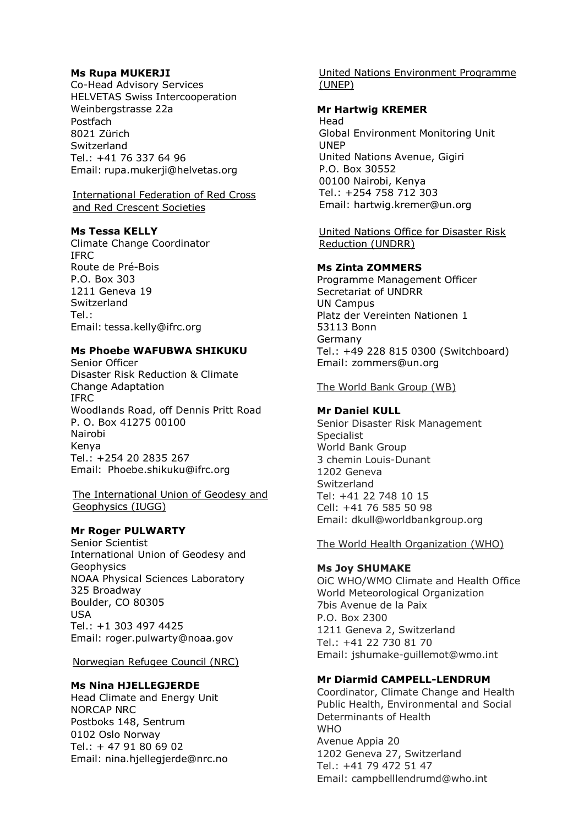# **Ms Rupa MUKERJI**

Co-Head Advisory Services HELVETAS Swiss Intercooperation [Weinbergstrasse 22a](https://maps.google.com/?q=Weinbergstrasse+22a&entry=gmail&source=g) Postfach 8021 Zürich Switzerland Tel.: [+41](tel:%2B41763376496) 76 337 64 96 Email: rupa.mukerji@helvetas.org

## International Federation of Red Cross and Red Crescent Societies

**Ms Tessa KELLY** Climate Change Coordinator IFRC Route de Pré-Bois P.O. Box 303 1211 Geneva 19 **Switzerland** Tel.: Email: tessa.kelly@ifrc.org

# **Ms Phoebe WAFUBWA SHIKUKU**

Senior Officer Disaster Risk Reduction & Climate Change Adaptation IFRC Woodlands Road, off Dennis Pritt Road P. O. Box 41275 00100 Nairobi Kenya Tel.: +254 20 2835 267 Email: Phoebe.shikuku@ifrc.org

The International Union of Geodesy and Geophysics (IUGG)

# **Mr Roger PULWARTY**

Senior Scientist International Union of Geodesy and Geophysics NOAA Physical Sciences Laboratory 325 Broadway Boulder, CO 80305 USA Tel.: +1 303 497 4425 Email: roger.pulwarty@noaa.gov

#### Norwegian Refugee Council (NRC)

#### **Ms Nina HJELLEGJERDE**

Head Climate and Energy Unit NORCAP NRC Postboks 148, Sentrum 0102 Oslo Norway Tel.: + 47 91 80 69 02 Email: nina.hjellegjerde@nrc.no

United Nations Environment Programme (UNEP)

# **Mr Hartwig KREMER**

Head Global Environment Monitoring Unit UNEP United Nations Avenue, Gigiri P.O. Box 30552 00100 Nairobi, Kenya Tel.: +254 758 712 303 Email: hartwig.kremer@un.org

United Nations Office for Disaster Risk Reduction (UNDRR)

## **Ms Zinta ZOMMERS**

Programme Management Officer Secretariat of UNDRR UN Campus Platz der Vereinten Nationen 1 53113 Bonn Germany Tel.: +49 228 815 0300 (Switchboard) Email: zommers@un.org

The World Bank Group (WB)

#### **Mr Daniel KULL**

Senior Disaster Risk Management **Specialist** World Bank Group 3 chemin Louis-Dunant 1202 Geneva **Switzerland** Tel: +41 22 748 10 15 Cell: +41 76 585 50 98 Email: dkull@worldbankgroup.org

The World Health Organization (WHO)

#### **Ms Joy SHUMAKE**

OiC WHO/WMO Climate and Health Office World Meteorological Organization 7bis Avenue de la Paix P.O. Box 2300 1211 Geneva 2, Switzerland Tel.: +41 22 730 81 70 Email: jshumake-guillemot@wmo.int

# **Mr Diarmid CAMPELL-LENDRUM**

Coordinator, Climate Change and Health Public Health, Environmental and Social Determinants of Health **WHO** Avenue Appia 20 1202 Geneva 27, Switzerland Tel.: +41 79 472 51 47 Email: [campbelllendrumd@who.int](mailto:campbelllendrumd@who.int)